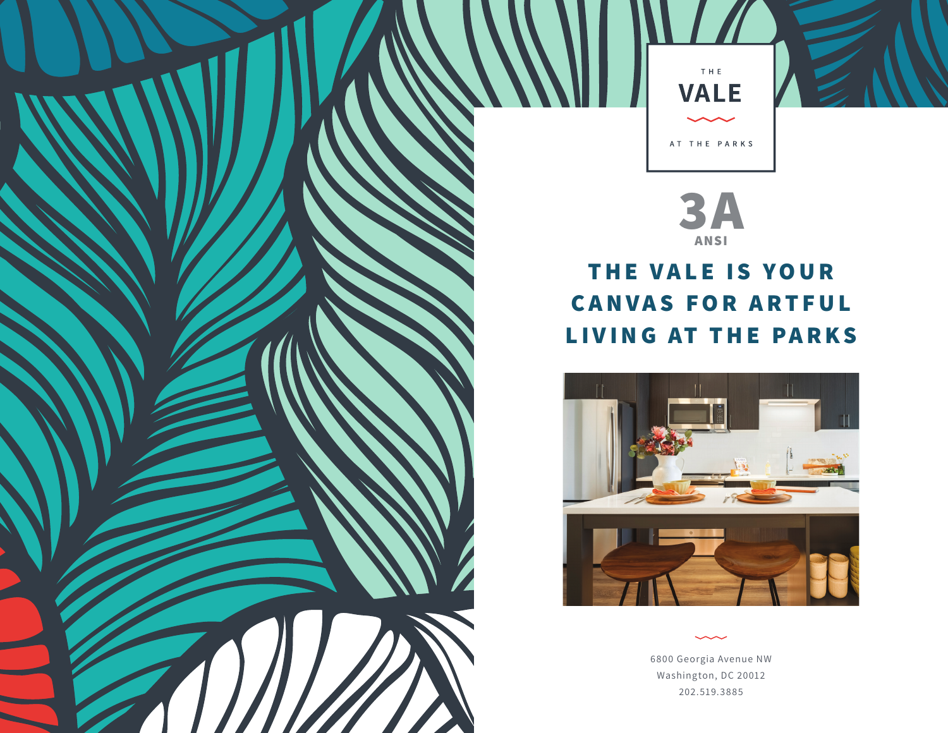



## **THE VALE IS YOUR CANVAS FOR ARTFUL LIVING AT THE PARKS**



6800 Georgia Avenue NW Washington, DC 20012 202.519.3885